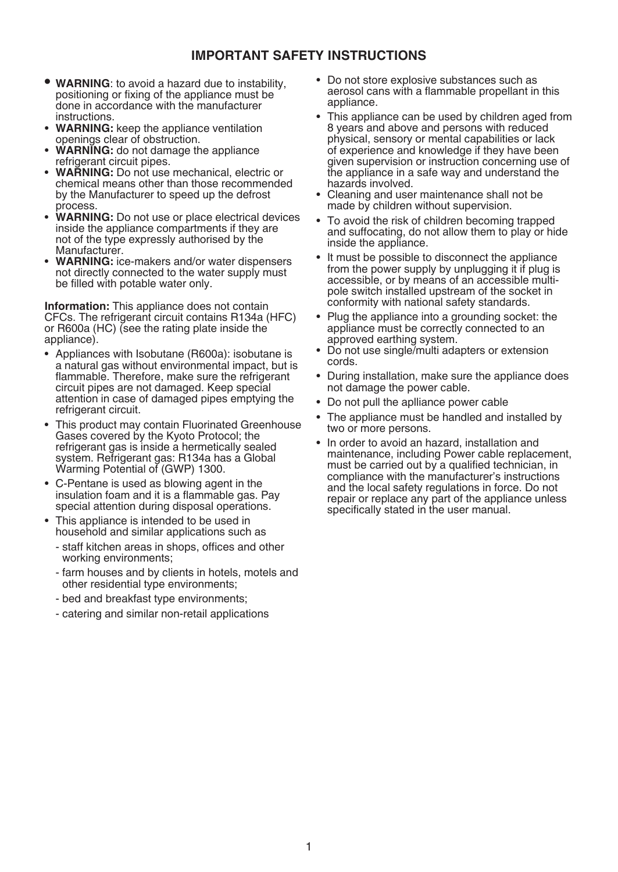### **IMPORTANT SAFETY INSTRUCTIONS**

- **WARNING**: to avoid a hazard due to instability, positioning or fixing of the appliance must be done in accordance with the manufacturer<br>instructions
- **WARNING:** keep the appliance ventilation openings clear of obstruction.
- **WARNING:** do not damage the appliance refrigerant circuit pipes.
- **WARNING:** Do not use mechanical, electric or chemical means other than those recommended by the Manufacturer to speed up the defrost
- process.<br>**WARNING:** Do not use or place electrical devices inside the appliance compartments if they are not of the type expressly authorised by the<br>Manufacturer.
- **WARNING:** ice-makers and/or water dispensers not directly connected to the water supply must be filled with potable water only.

**Information:** This appliance does not contain CFCs. The refrigerant circuit contains R134a (HFC) or R600a (HC) (see the rating plate inside the appliance).

- Appliances with Isobutane (R600a): isobutane is a natural gas without environmental impact, but is flammable. Therefore, make sure the refrigerant circuit pipes are not damaged. Keep special attention in case of damaged pipes emptying the refrigerant circuit.
- This product may contain Fluorinated Greenhouse Gases covered by the Kyoto Protocol; the refrigerant gas is inside a hermetically sealed system. Refrigerant gas: R134a has a Global Warming Potential of (GWP) 1300.
- • C-Pentane is used as blowing agent in the insulation foam and it is a flammable gas. Pay special attention during disposal operations.
- This appliance is intended to be used in household and similar applications such as
	- staff kitchen areas in shops, offices and other working environments;
	- farm houses and by clients in hotels, motels and other residential type environments;
	- bed and breakfast type environments;
	- catering and similar non-retail applications
- Do not store explosive substances such as aerosol cans with a flammable propellant in this appliance.
- This appliance can be used by children aged from 8 years and above and persons with reduced physical, sensory or mental capabilities or lack of experience and knowledge if they have been given supervision or instruction concerning use of the appliance in a safe way and understand the hazards involved.
- Cleaning and user maintenance shall not be made by children without supervision.
- To avoid the risk of children becoming trapped and suffocating, do not allow them to play or hide inside the appliance.
- It must be possible to disconnect the appliance from the power supply by unplugging it if plug is accessible, or by means of an accessible multipole switch installed upstream of the socket in conformity with national safety standards.
- Plug the appliance into a grounding socket: the appliance must be correctly connected to an approved earthing system.
- Do not use single/multi adapters or extension cords.
- During installation, make sure the appliance does not damage the power cable.
- • Do not pull the aplliance power cable
- The appliance must be handled and installed by two or more persons.
- In order to avoid an hazard, installation and maintenance, including Power cable replacement, must be carried out by a qualified technician, in compliance with the manufacturer's instructions and the local safety regulations in force. Do not repair or replace any part of the appliance unless specifically stated in the user manual.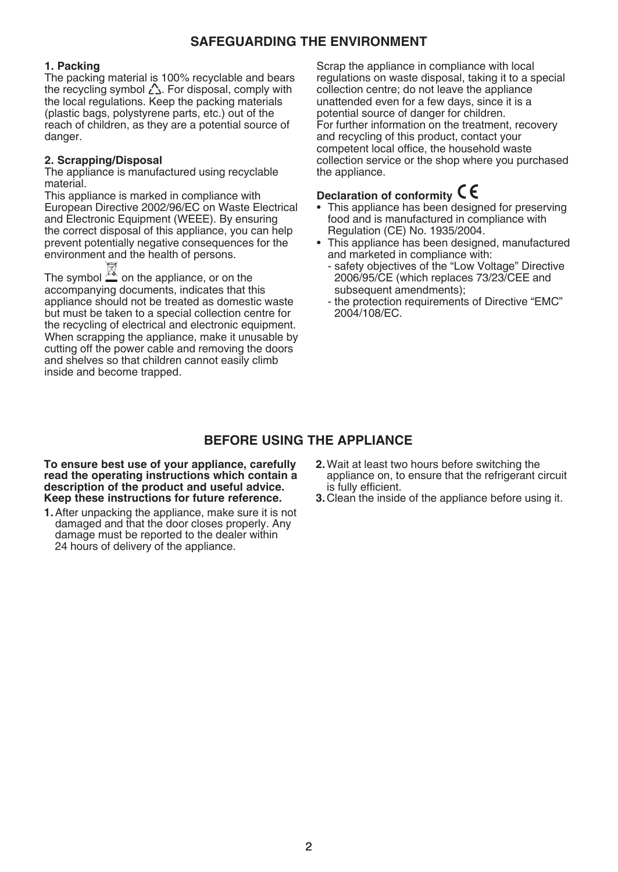# **SAFEGUARDING THE ENVIRONMENT**

#### **1. Packing**

The packing material is 100% recyclable and bears the recycling symbol  $\triangle$ . For disposal, comply with the local regulations. Keep the packing materials (plastic bags, polystyrene parts, etc.) out of the reach of children, as they are a potential source of danger.

#### **2. Scrapping/Disposal**

The appliance is manufactured using recyclable material.

This appliance is marked in compliance with European Directive 2002/96/EC on Waste Electrical and Electronic Equipment (WEEE). By ensuring the correct disposal of this appliance, you can help prevent potentially negative consequences for the environment and the health of persons.

The symbol  $\mathbb{X}$  on the appliance, or on the accompanying documents, indicates that this appliance should not be treated as domestic waste but must be taken to a special collection centre for the recycling of electrical and electronic equipment. When scrapping the appliance, make it unusable by cutting off the power cable and removing the doors and shelves so that children cannot easily climb inside and become trapped.

Scrap the appliance in compliance with local regulations on waste disposal, taking it to a special collection centre; do not leave the appliance unattended even for a few days, since it is a potential source of danger for children. For further information on the treatment, recovery and recycling of this product, contact your competent local office, the household waste collection service or the shop where you purchased the appliance.

# **Declaration of conformity**

- This appliance has been designed for preserving food and is manufactured in compliance with Regulation (CE) No. 1935/2004.
- This appliance has been designed, manufactured and marketed in compliance with:
	- safety objectives of the "Low Voltage" Directive 2006/95/CE (which replaces 73/23/CEE and subsequent amendments);
	- the protection requirements of Directive "EMC" 2004/108/EC.

## **BEFORE USING THE APPLIANCE**

**To ensure best use of your appliance, carefully read the operating instructions which contain a description of the product and useful advice. Keep these instructions for future reference.**

- **1.**After unpacking the appliance, make sure it is not damaged and that the door closes properly. Any damage must be reported to the dealer within 24 hours of delivery of the appliance.
- **2.**Wait at least two hours before switching the appliance on, to ensure that the refrigerant circuit is fully efficient.
- **3.** Clean the inside of the appliance before using it.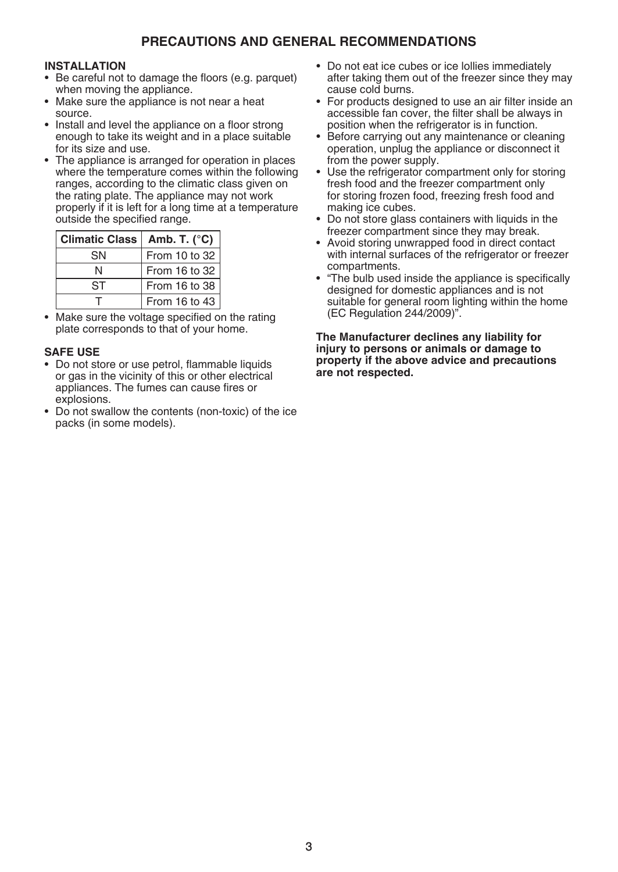# **PRECAUTIONS AND GENERAL RECOMMENDATIONS**

#### **INSTALLATION**

- Be careful not to damage the floors (e.g. parquet) when moving the appliance.
- Make sure the appliance is not near a heat source.
- Install and level the appliance on a floor strong enough to take its weight and in a place suitable for its size and use.
- The appliance is arranged for operation in places where the temperature comes within the following ranges, according to the climatic class given on the rating plate. The appliance may not work properly if it is left for a long time at a temperature outside the specified range.

| Climatic Class   Amb. T. (°C) |               |
|-------------------------------|---------------|
| SN                            | From 10 to 32 |
| N                             | From 16 to 32 |
| ST                            | From 16 to 38 |
|                               | From 16 to 43 |

• Make sure the voltage specified on the rating plate corresponds to that of your home.

### **SAFE USE**

- • Do not store or use petrol, flammable liquids or gas in the vicinity of this or other electrical appliances. The fumes can cause fires or explosions.
- Do not swallow the contents (non-toxic) of the ice packs (in some models).
- Do not eat ice cubes or ice lollies immediately after taking them out of the freezer since they may cause cold burns.
- For products designed to use an air filter inside an accessible fan cover, the filter shall be always in position when the refrigerator is in function.
- Before carrying out any maintenance or cleaning operation, unplug the appliance or disconnect it from the power supply.
- Use the refrigerator compartment only for storing fresh food and the freezer compartment only for storing frozen food, freezing fresh food and making ice cubes.
- Do not store glass containers with liquids in the freezer compartment since they may break.
- Avoid storing unwrapped food in direct contact with internal surfaces of the refrigerator or freezer compartments.
- "The bulb used inside the appliance is specifically designed for domestic appliances and is not suitable for general room lighting within the home (EC Regulation 244/2009)".

**The Manufacturer declines any liability for injury to persons or animals or damage to property if the above advice and precautions are not respected.**